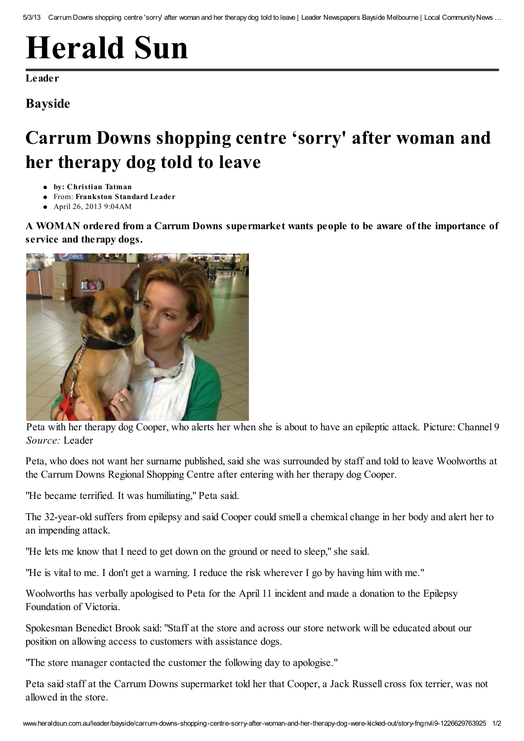## [Herald](http://www.heraldsun.com.au/) Sun

[Leader](http://www.heraldsun.com.au/leader)

## Bayside

## Carrum Downs shopping centre 'sorry' after woman and her therapy dog told to leave

- by: Christian Tatman
- From: [Frankston](http://www.heraldsun.com.au/leader/bayside) Standard Leader
- April 26, 2013 9:04AM

A WOMAN ordered from a Carrum Downs supermarket wants people to be aware of the importance of service and therapy dogs.



Peta with her therapy dog Cooper, who alerts her when she is about to have an epileptic attack. Picture: Channel 9 *Source:* Leader

Peta, who does not want her surname published, said she was surrounded by staff and told to leave Woolworths at the Carrum Downs Regional Shopping Centre after entering with her therapy dog Cooper.

"He became terrified. It was humiliating," Peta said.

The 32-year-old suffers from epilepsy and said Cooper could smell a chemical change in her body and alert her to an impending attack.

"He lets me know that I need to get down on the ground or need to sleep," she said.

"He is vital to me. I don't get a warning. I reduce the risk wherever I go by having him with me."

Woolworths has verbally apologised to Peta for the April 11 incident and made a donation to the Epilepsy Foundation of Victoria.

Spokesman Benedict Brook said: "Staff at the store and across our store network will be educated about our position on allowing access to customers with assistance dogs.

"The store manager contacted the customer the following day to apologise."

Peta said staff at the Carrum Downs supermarket told her that Cooper, a Jack Russell cross fox terrier, was not allowed in the store.